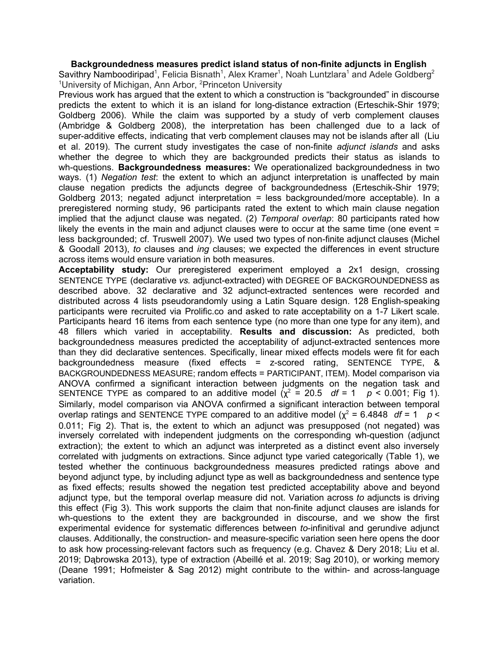**Backgroundedness measures predict island status of non-finite adjuncts in English**

Savithry Namboodiripad<sup>1</sup>, Felicia Bisnath<sup>1</sup>, Alex Kramer<sup>1</sup>, Noah Luntzlara<sup>1</sup> and Adele Goldberg<sup>2</sup> <sup>1</sup>University of Michigan, Ann Arbor, <sup>2</sup>Princeton University

Previous work has argued that the extent to which a construction is "backgrounded" in discourse predicts the extent to which it is an island for long-distance extraction (Erteschik-Shir 1979; Goldberg 2006). While the claim was supported by a study of verb complement clauses (Ambridge & Goldberg 2008), the interpretation has been challenged due to a lack of super-additive effects, indicating that verb complement clauses may not be islands after all (Liu et al. 2019). The current study investigates the case of non-finite *adjunct islands* and asks whether the degree to which they are backgrounded predicts their status as islands to wh-questions. **Backgroundedness measures:** We operationalized backgroundedness in two ways. (1) *Negation test*: the extent to which an adjunct interpretation is unaffected by main clause negation predicts the adjuncts degree of backgroundedness (Erteschik-Shir 1979; Goldberg 2013; negated adjunct interpretation = less backgrounded/more acceptable). In a preregistered norming study, 96 participants rated the extent to which main clause negation implied that the adjunct clause was negated. (2) *Temporal overlap*: 80 participants rated how likely the events in the main and adjunct clauses were to occur at the same time (one event = less backgrounded; cf. Truswell 2007). We used two types of non-finite adjunct clauses (Michel & Goodall 2013), *to* clauses and *ing* clauses; we expected the differences in event structure across items would ensure variation in both measures.

**Acceptability study:** Our preregistered experiment employed a 2x1 design, crossing SENTENCE TYPE (declarative *vs.* adjunct-extracted) with DEGREE OF BACKGROUNDEDNESS as described above. 32 declarative and 32 adjunct-extracted sentences were recorded and distributed across 4 lists pseudorandomly using a Latin Square design. 128 English-speaking participants were recruited via Prolific.co and asked to rate acceptability on a 1-7 Likert scale. Participants heard 16 items from each sentence type (no more than one type for any item), and 48 fillers which varied in acceptability. **Results and discussion:** As predicted, both backgroundedness measures predicted the acceptability of adjunct-extracted sentences more than they did declarative sentences. Specifically, linear mixed effects models were fit for each backgroundedness measure (fixed effects = z-scored rating, SENTENCE TYPE, & BACKGROUNDEDNESS MEASURE; random effects = PARTICIPANT, ITEM). Model comparison via ANOVA confirmed a significant interaction between judgments on the negation task and SENTENCE TYPE as compared to an additive model  $(\chi^2 = 20.5 \text{ df} = 1 \text{ } p \le 0.001$ ; Fig 1). Similarly, model comparison via ANOVA confirmed a significant interaction between temporal overlap ratings and SENTENCE TYPE compared to an additive model ( $\chi^2$  = 6.4848 *df* = 1 *p* < 0.011; Fig 2). That is, the extent to which an adjunct was presupposed (not negated) was inversely correlated with independent judgments on the corresponding wh-question (adjunct extraction); the extent to which an adjunct was interpreted as a distinct event also inversely correlated with judgments on extractions. Since adjunct type varied categorically (Table 1), we tested whether the continuous backgroundedness measures predicted ratings above and beyond adjunct type, by including adjunct type as well as backgroundedness and sentence type as fixed effects; results showed the negation test predicted acceptability above and beyond adjunct type, but the temporal overlap measure did not. Variation across *to* adjuncts is driving this effect (Fig 3). This work supports the claim that non-finite adjunct clauses are islands for wh-questions to the extent they are backgrounded in discourse, and we show the first experimental evidence for systematic differences between *to*-infinitival and gerundive adjunct clauses. Additionally, the construction- and measure-specific variation seen here opens the door to ask how processing-relevant factors such as frequency (e.g. Chavez & Dery 2018; Liu et al. 2019; Dąbrowska 2013), type of extraction (Abeillé et al. 2019; Sag 2010), or working memory (Deane 1991; Hofmeister & Sag 2012) might contribute to the within- and across-language variation.